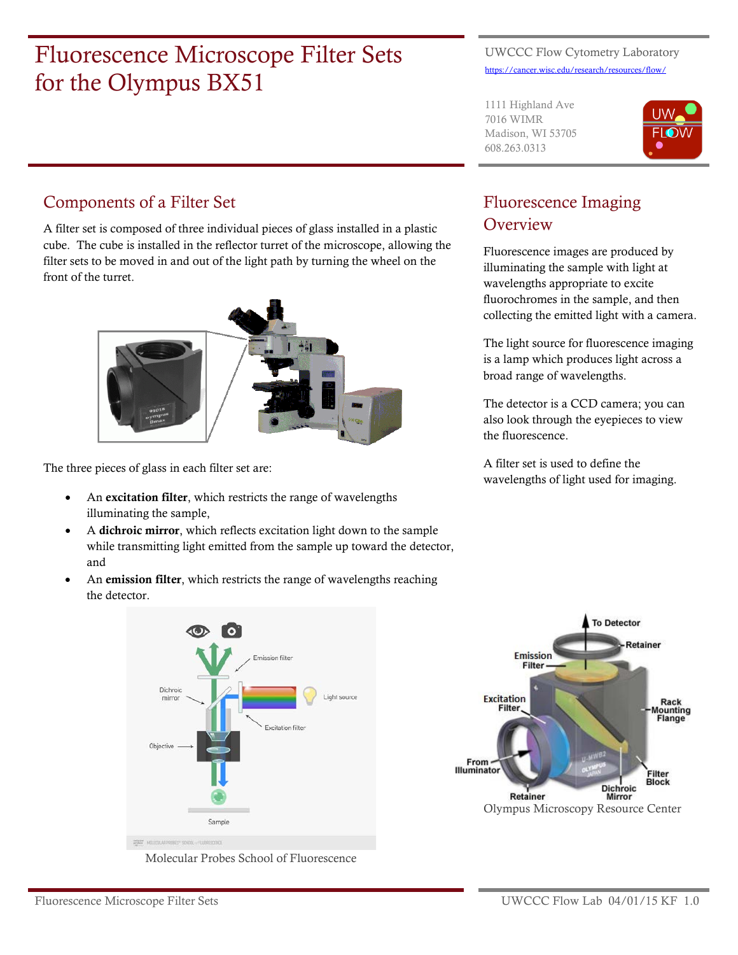# Fluorescence Microscope Filter Sets for the Olympus BX51

#### UWCCC Flow Cytometry Laboratory <https://cancer.wisc.edu/research/resources/flow/>

1111 Highland Ave 7016 WIMR Madison, WI 53705 608.263.0313



# Components of a Filter Set

A filter set is composed of three individual pieces of glass installed in a plastic cube. The cube is installed in the reflector turret of the microscope, allowing the filter sets to be moved in and out of the light path by turning the wheel on the front of the turret.



The three pieces of glass in each filter set are:

- An excitation filter, which restricts the range of wavelengths illuminating the sample,
- A dichroic mirror, which reflects excitation light down to the sample while transmitting light emitted from the sample up toward the detector, and
- An emission filter, which restricts the range of wavelengths reaching the detector.



Molecular Probes School of Fluorescence

# Fluorescence Imaging **Overview**

Fluorescence images are produced by illuminating the sample with light at wavelengths appropriate to excite fluorochromes in the sample, and then collecting the emitted light with a camera.

The light source for fluorescence imaging is a lamp which produces light across a broad range of wavelengths.

The detector is a CCD camera; you can also look through the eyepieces to view the fluorescence.

A filter set is used to define the wavelengths of light used for imaging.

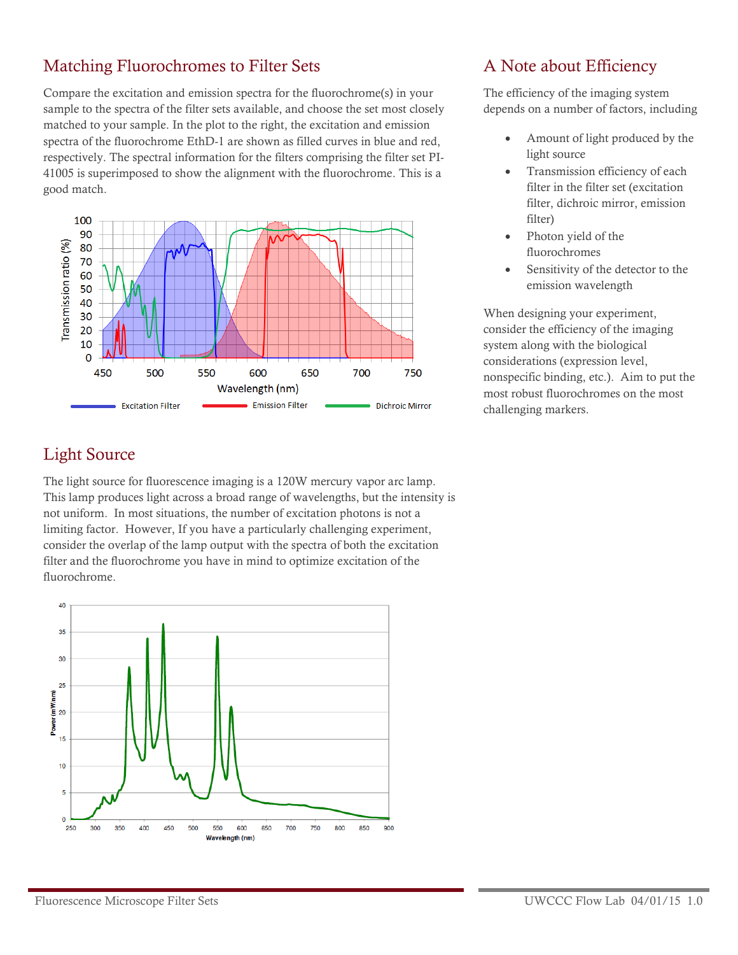#### Matching Fluorochromes to Filter Sets

Compare the excitation and emission spectra for the fluorochrome(s) in your sample to the spectra of the filter sets available, and choose the set most closely matched to your sample. In the plot to the right, the excitation and emission spectra of the fluorochrome EthD-1 are shown as filled curves in blue and red, respectively. The spectral information for the filters comprising the filter set PI-41005 is superimposed to show the alignment with the fluorochrome. This is a good match.



# Light Source

The light source for fluorescence imaging is a 120W mercury vapor arc lamp. This lamp produces light across a broad range of wavelengths, but the intensity is not uniform. In most situations, the number of excitation photons is not a limiting factor. However, If you have a particularly challenging experiment, consider the overlap of the lamp output with the spectra of both the excitation filter and the fluorochrome you have in mind to optimize excitation of the fluorochrome.



## A Note about Efficiency

The efficiency of the imaging system depends on a number of factors, including

- Amount of light produced by the light source
- Transmission efficiency of each filter in the filter set (excitation filter, dichroic mirror, emission filter)
- Photon yield of the fluorochromes
- Sensitivity of the detector to the emission wavelength

When designing your experiment, consider the efficiency of the imaging system along with the biological considerations (expression level, nonspecific binding, etc.). Aim to put the most robust fluorochromes on the most challenging markers.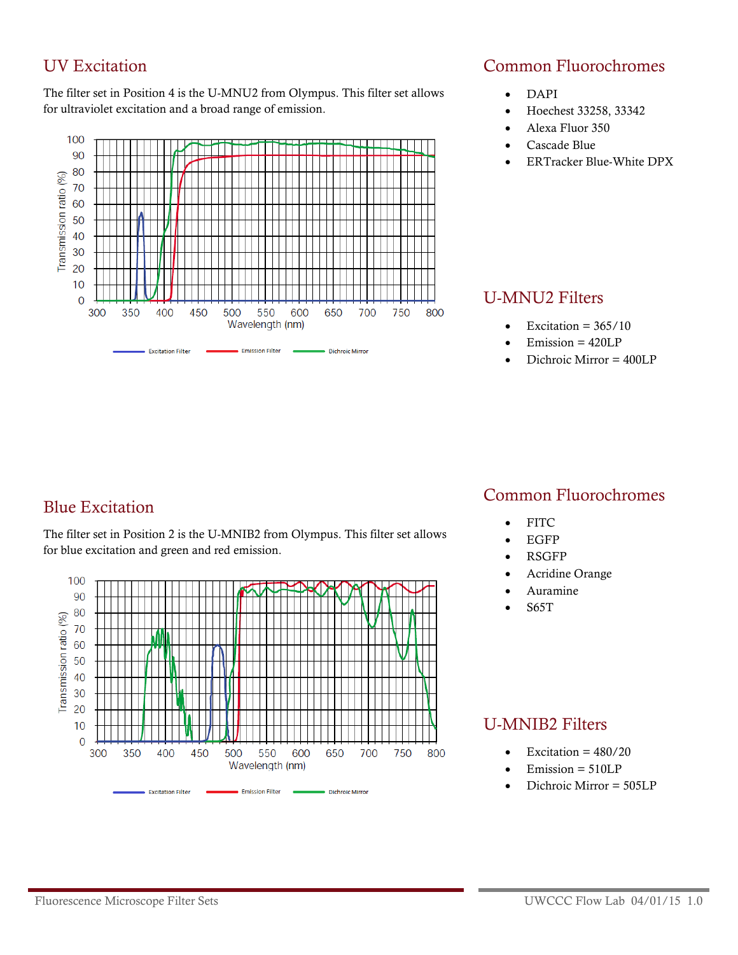# UV Excitation

The filter set in Position 4 is the U-MNU2 from Olympus. This filter set allows for ultraviolet excitation and a broad range of emission.



#### Common Fluorochromes

- DAPI
- Hoechest 33258, 33342
- Alexa Fluor 350
- Cascade Blue
- ERTracker Blue-White DPX

## U-MNU2 Filters

- Excitation =  $365/10$
- $Emission = 420LP$
- Dichroic Mirror = 400LP

# Blue Excitation

The filter set in Position 2 is the U-MNIB2 from Olympus. This filter set allows for blue excitation and green and red emission.



### Common Fluorochromes

- FITC
- EGFP
- RSGFP
- Acridine Orange
- Auramine
- S65T

# U-MNIB2 Filters

- Excitation =  $480/20$
- $\bullet$  Emission = 510LP
- Dichroic Mirror = 505LP